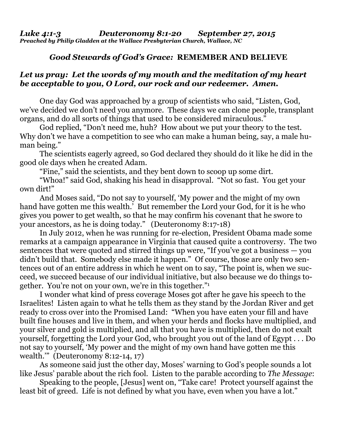## *Good Stewards of God's Grace:* **REMEMBER AND BELIEVE**

## *Let us pray: Let the words of my mouth and the meditation of my heart be acceptable to you, O Lord, our rock and our redeemer. Amen.*

One day God was approached by a group of scientists who said, "Listen, God, we've decided we don't need you anymore. These days we can clone people, transplant organs, and do all sorts of things that used to be considered miraculous."

 God replied, "Don't need me, huh? How about we put your theory to the test. Why don't we have a competition to see who can make a human being, say, a male human being."

 The scientists eagerly agreed, so God declared they should do it like he did in the good ole days when he created Adam.

"Fine," said the scientists, and they bent down to scoop up some dirt.

 "Whoa!" said God, shaking his head in disapproval. "Not so fast. You get your own dirt!"

 And Moses said, "Do not say to yourself, 'My power and the might of my own hand have gotten me this wealth.' But remember the Lord your God, for it is he who gives you power to get wealth, so that he may confirm his covenant that he swore to your ancestors, as he is doing today." (Deuteronomy 8:17-18)

 In July 2012, when he was running for re-election, President Obama made some remarks at a campaign appearance in Virginia that caused quite a controversy. The two sentences that were quoted and stirred things up were, "If you've got a business — you didn't build that. Somebody else made it happen." Of course, those are only two sentences out of an entire address in which he went on to say, "The point is, when we succeed, we succeed because of our individual initiative, but also because we do things together. You're not on your own, we're in this together."1

 I wonder what kind of press coverage Moses got after he gave his speech to the Israelites! Listen again to what he tells them as they stand by the Jordan River and get ready to cross over into the Promised Land: "When you have eaten your fill and have built fine houses and live in them, and when your herds and flocks have multiplied, and your silver and gold is multiplied, and all that you have is multiplied, then do not exalt yourself, forgetting the Lord your God, who brought you out of the land of Egypt . . . Do not say to yourself, 'My power and the might of my own hand have gotten me this wealth.'" (Deuteronomy 8:12-14, 17)

 As someone said just the other day, Moses' warning to God's people sounds a lot like Jesus' parable about the rich fool. Listen to the parable according to *The Message*:

 Speaking to the people, [Jesus] went on, "Take care! Protect yourself against the least bit of greed. Life is not defined by what you have, even when you have a lot."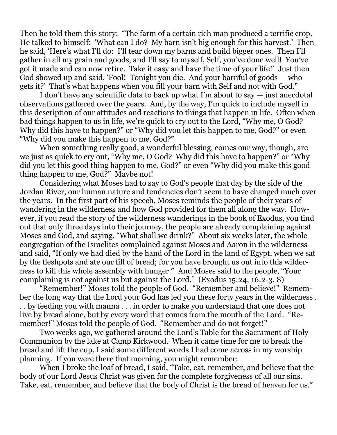Then he told them this story: "The farm of a certain rich man produced a terrific crop. He talked to himself: 'What can I do? My barn isn't big enough for this harvest.' Then he said, 'Here's what I'll do: I'll tear down my barns and build bigger ones. Then I'll gather in all my grain and goods, and I'll say to myself, Self, you've done well! You've got it made and can now retire. Take it easy and have the time of your life!' Just then God showed up and said, 'Fool! Tonight you die. And your barnful of goods — who gets it?' That's what happens when you fill your barn with Self and not with God."

 I don't have any scientific data to back up what I'm about to say — just anecdotal observations gathered over the years. And, by the way, I'm quick to include myself in this description of our attitudes and reactions to things that happen in life. Often when bad things happen to us in life, we're quick to cry out to the Lord, "Why me, O God? Why did this have to happen?" or "Why did you let this happen to me, God?" or even "Why did you make this happen to me, God?"

 When something really good, a wonderful blessing, comes our way, though, are we just as quick to cry out, "Why me, O God? Why did this have to happen?" or "Why did you let this good thing happen to me, God?" or even "Why did you make this good thing happen to me, God?" Maybe not!

 Considering what Moses had to say to God's people that day by the side of the Jordan River, our human nature and tendencies don't seem to have changed much over the years. In the first part of his speech, Moses reminds the people of their years of wandering in the wilderness and how God provided for them all along the way. However, if you read the story of the wilderness wanderings in the book of Exodus, you find out that only three days into their journey, the people are already complaining against Moses and God, and saying, "What shall we drink?" About six weeks later, the whole congregation of the Israelites complained against Moses and Aaron in the wilderness and said, "If only we had died by the hand of the Lord in the land of Egypt, when we sat by the fleshpots and ate our fill of bread; for you have brought us out into this wilderness to kill this whole assembly with hunger." And Moses said to the people, "Your complaining is not against us but against the Lord." (Exodus 15:24; 16:2-3, 8)

 "Remember!" Moses told the people of God. "Remember and believe!" Remember the long way that the Lord your God has led you these forty years in the wilderness . . . by feeding you with manna . . . in order to make you understand that one does not live by bread alone, but by every word that comes from the mouth of the Lord. "Remember!" Moses told the people of God. "Remember and do not forget!"

 Two weeks ago, we gathered around the Lord's Table for the Sacrament of Holy Communion by the lake at Camp Kirkwood. When it came time for me to break the bread and lift the cup, I said some different words I had come across in my worship planning. If you were there that morning, you might remember:

 When I broke the loaf of bread, I said, "Take, eat, remember, and believe that the body of our Lord Jesus Christ was given for the complete forgiveness of all our sins. Take, eat, remember, and believe that the body of Christ is the bread of heaven for us."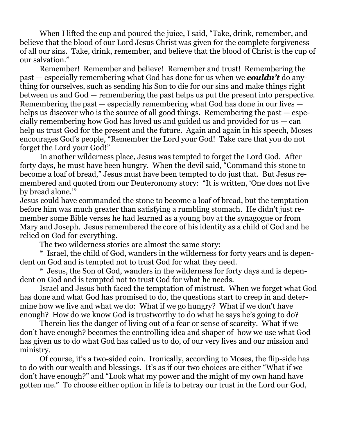When I lifted the cup and poured the juice, I said, "Take, drink, remember, and believe that the blood of our Lord Jesus Christ was given for the complete forgiveness of all our sins. Take, drink, remember, and believe that the blood of Christ is the cup of our salvation."

 Remember! Remember and believe! Remember and trust! Remembering the past — especially remembering what God has done for us when we *couldn't* do anything for ourselves, such as sending his Son to die for our sins and make things right between us and God — remembering the past helps us put the present into perspective. Remembering the past — especially remembering what God has done in our lives helps us discover who is the source of all good things. Remembering the past — especially remembering how God has loved us and guided us and provided for us — can help us trust God for the present and the future. Again and again in his speech, Moses encourages God's people, "Remember the Lord your God! Take care that you do not forget the Lord your God!"

 In another wilderness place, Jesus was tempted to forget the Lord God. After forty days, he must have been hungry. When the devil said, "Command this stone to become a loaf of bread," Jesus must have been tempted to do just that. But Jesus remembered and quoted from our Deuteronomy story: "It is written, 'One does not live by bread alone."

Jesus could have commanded the stone to become a loaf of bread, but the temptation before him was much greater than satisfying a rumbling stomach. He didn't just remember some Bible verses he had learned as a young boy at the synagogue or from Mary and Joseph. Jesus remembered the core of his identity as a child of God and he relied on God for everything.

The two wilderness stories are almost the same story:

 \* Israel, the child of God, wanders in the wilderness for forty years and is dependent on God and is tempted not to trust God for what they need.

 \* Jesus, the Son of God, wanders in the wilderness for forty days and is dependent on God and is tempted not to trust God for what he needs.

 Israel and Jesus both faced the temptation of mistrust. When we forget what God has done and what God has promised to do, the questions start to creep in and determine how we live and what we do: What if we go hungry? What if we don't have enough? How do we know God is trustworthy to do what he says he's going to do?

 Therein lies the danger of living out of a fear or sense of scarcity. What if we don't have enough? becomes the controlling idea and shaper of how we use what God has given us to do what God has called us to do, of our very lives and our mission and ministry.

 Of course, it's a two-sided coin. Ironically, according to Moses, the flip-side has to do with our wealth and blessings. It's as if our two choices are either "What if we don't have enough?" and "Look what my power and the might of my own hand have gotten me." To choose either option in life is to betray our trust in the Lord our God,